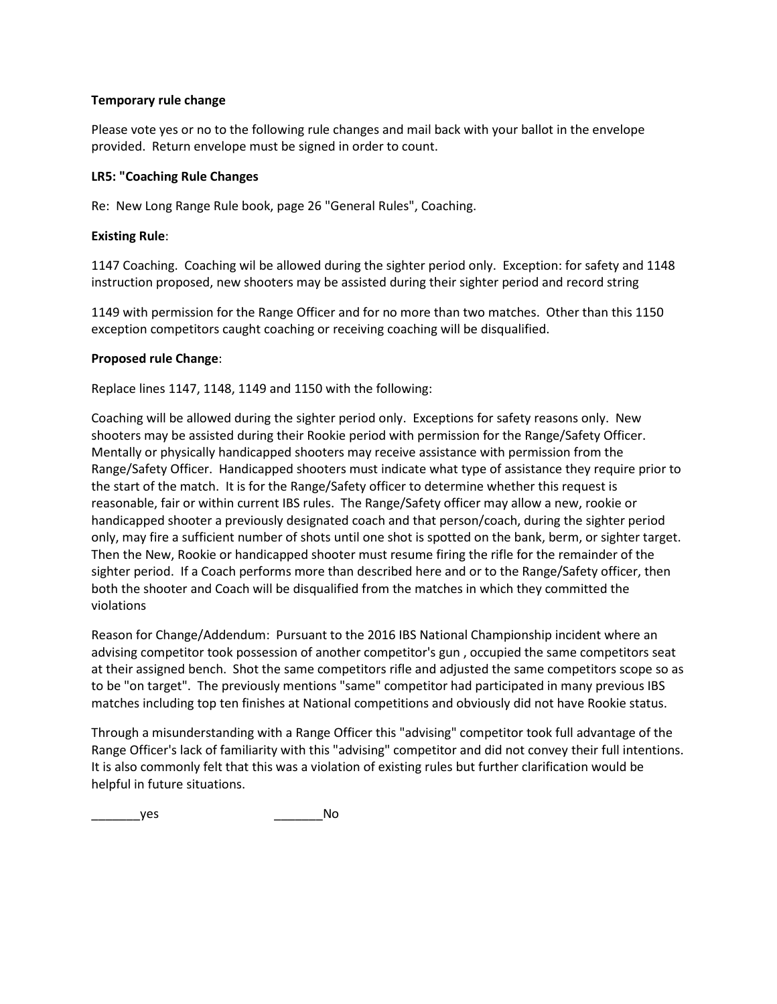## **Temporary rule change**

Please vote yes or no to the following rule changes and mail back with your ballot in the envelope provided. Return envelope must be signed in order to count.

## **LR5: "Coaching Rule Changes**

Re: New Long Range Rule book, page 26 "General Rules", Coaching.

## **Existing Rule**:

1147 Coaching. Coaching wil be allowed during the sighter period only. Exception: for safety and 1148 instruction proposed, new shooters may be assisted during their sighter period and record string

1149 with permission for the Range Officer and for no more than two matches. Other than this 1150 exception competitors caught coaching or receiving coaching will be disqualified.

## **Proposed rule Change**:

Replace lines 1147, 1148, 1149 and 1150 with the following:

Coaching will be allowed during the sighter period only. Exceptions for safety reasons only. New shooters may be assisted during their Rookie period with permission for the Range/Safety Officer. Mentally or physically handicapped shooters may receive assistance with permission from the Range/Safety Officer. Handicapped shooters must indicate what type of assistance they require prior to the start of the match. It is for the Range/Safety officer to determine whether this request is reasonable, fair or within current IBS rules. The Range/Safety officer may allow a new, rookie or handicapped shooter a previously designated coach and that person/coach, during the sighter period only, may fire a sufficient number of shots until one shot is spotted on the bank, berm, or sighter target. Then the New, Rookie or handicapped shooter must resume firing the rifle for the remainder of the sighter period. If a Coach performs more than described here and or to the Range/Safety officer, then both the shooter and Coach will be disqualified from the matches in which they committed the violations

Reason for Change/Addendum: Pursuant to the 2016 IBS National Championship incident where an advising competitor took possession of another competitor's gun , occupied the same competitors seat at their assigned bench. Shot the same competitors rifle and adjusted the same competitors scope so as to be "on target". The previously mentions "same" competitor had participated in many previous IBS matches including top ten finishes at National competitions and obviously did not have Rookie status.

Through a misunderstanding with a Range Officer this "advising" competitor took full advantage of the Range Officer's lack of familiarity with this "advising" competitor and did not convey their full intentions. It is also commonly felt that this was a violation of existing rules but further clarification would be helpful in future situations.

\_\_\_\_\_\_\_yes \_\_\_\_\_\_\_No